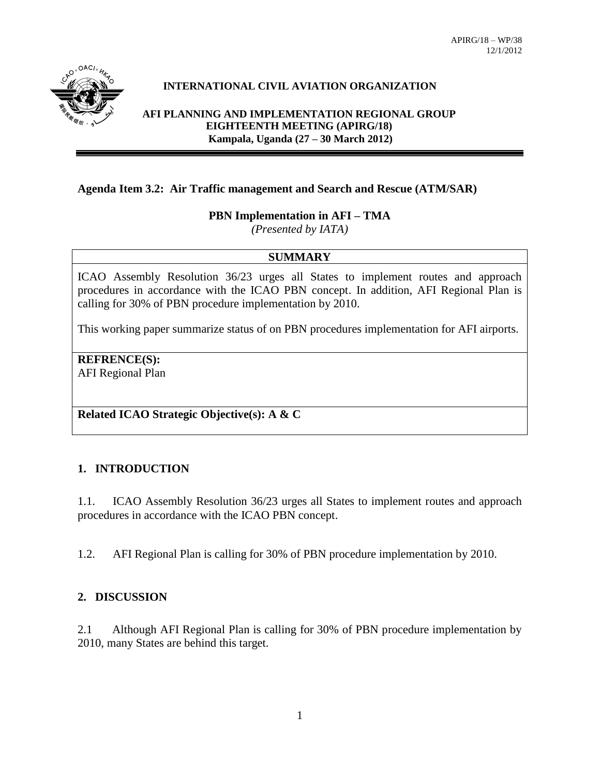

## **INTERNATIONAL CIVIL AVIATION ORGANIZATION**

**AFI PLANNING AND IMPLEMENTATION REGIONAL GROUP EIGHTEENTH MEETING (APIRG/18) Kampala, Uganda (27 – 30 March 2012)**

## **Agenda Item 3.2: Air Traffic management and Search and Rescue (ATM/SAR)**

## **PBN Implementation in AFI – TMA**

*(Presented by IATA)*

### **SUMMARY**

ICAO Assembly Resolution 36/23 urges all States to implement routes and approach procedures in accordance with the ICAO PBN concept. In addition, AFI Regional Plan is calling for 30% of PBN procedure implementation by 2010.

This working paper summarize status of on PBN procedures implementation for AFI airports.

# **REFRENCE(S):**

AFI Regional Plan

## **Related ICAO Strategic Objective(s): A & C**

## **1. INTRODUCTION**

1.1. ICAO Assembly Resolution 36/23 urges all States to implement routes and approach procedures in accordance with the ICAO PBN concept.

1.2. AFI Regional Plan is calling for 30% of PBN procedure implementation by 2010.

### **2. DISCUSSION**

2.1 Although AFI Regional Plan is calling for 30% of PBN procedure implementation by 2010, many States are behind this target.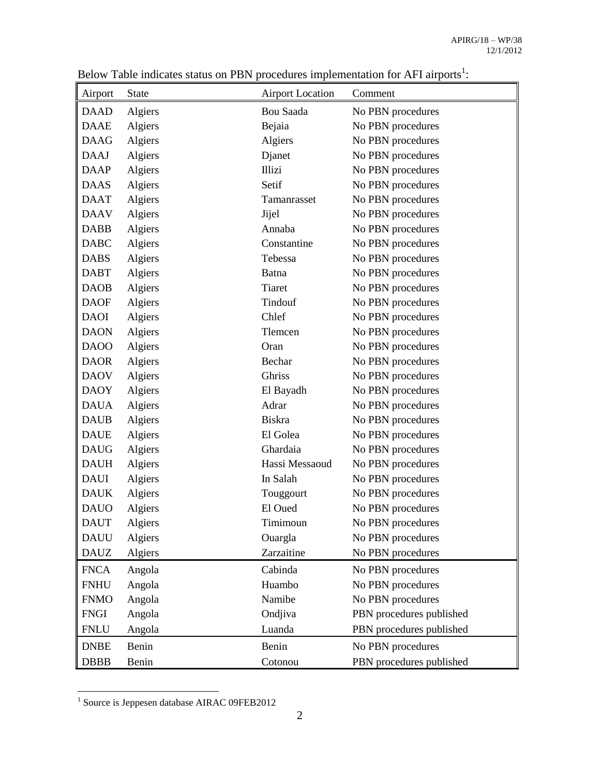| Airport     | <b>State</b> | <b>Airport Location</b> | Comment                  |
|-------------|--------------|-------------------------|--------------------------|
| <b>DAAD</b> | Algiers      | Bou Saada               | No PBN procedures        |
| <b>DAAE</b> | Algiers      | Bejaia                  | No PBN procedures        |
| <b>DAAG</b> | Algiers      | Algiers                 | No PBN procedures        |
| <b>DAAJ</b> | Algiers      | Djanet                  | No PBN procedures        |
| <b>DAAP</b> | Algiers      | <b>Illizi</b>           | No PBN procedures        |
| <b>DAAS</b> | Algiers      | Setif                   | No PBN procedures        |
| <b>DAAT</b> | Algiers      | Tamanrasset             | No PBN procedures        |
| <b>DAAV</b> | Algiers      | Jijel                   | No PBN procedures        |
| <b>DABB</b> | Algiers      | Annaba                  | No PBN procedures        |
| <b>DABC</b> | Algiers      | Constantine             | No PBN procedures        |
| <b>DABS</b> | Algiers      | Tebessa                 | No PBN procedures        |
| <b>DABT</b> | Algiers      | Batna                   | No PBN procedures        |
| <b>DAOB</b> | Algiers      | <b>Tiaret</b>           | No PBN procedures        |
| <b>DAOF</b> | Algiers      | Tindouf                 | No PBN procedures        |
| <b>DAOI</b> | Algiers      | Chlef                   | No PBN procedures        |
| <b>DAON</b> | Algiers      | Tlemcen                 | No PBN procedures        |
| <b>DAOO</b> | Algiers      | Oran                    | No PBN procedures        |
| <b>DAOR</b> | Algiers      | Bechar                  | No PBN procedures        |
| <b>DAOV</b> | Algiers      | Ghriss                  | No PBN procedures        |
| <b>DAOY</b> | Algiers      | El Bayadh               | No PBN procedures        |
| <b>DAUA</b> | Algiers      | Adrar                   | No PBN procedures        |
| <b>DAUB</b> | Algiers      | Biskra                  | No PBN procedures        |
| <b>DAUE</b> | Algiers      | El Golea                | No PBN procedures        |
| <b>DAUG</b> | Algiers      | Ghardaia                | No PBN procedures        |
| <b>DAUH</b> | Algiers      | Hassi Messaoud          | No PBN procedures        |
| <b>DAUI</b> | Algiers      | In Salah                | No PBN procedures        |
| <b>DAUK</b> | Algiers      | Touggourt               | No PBN procedures        |
| <b>DAUO</b> | Algiers      | El Oued                 | No PBN procedures        |
| <b>DAUT</b> | Algiers      | Timimoun                | No PBN procedures        |
| <b>DAUU</b> | Algiers      | Ouargla                 | No PBN procedures        |
| <b>DAUZ</b> | Algiers      | Zarzaitine              | No PBN procedures        |
| <b>FNCA</b> | Angola       | Cabinda                 | No PBN procedures        |
| <b>FNHU</b> | Angola       | Huambo                  | No PBN procedures        |
| <b>FNMO</b> | Angola       | Namibe                  | No PBN procedures        |
| <b>FNGI</b> | Angola       | Ondjiva                 | PBN procedures published |
| <b>FNLU</b> | Angola       | Luanda                  | PBN procedures published |
| <b>DNBE</b> | Benin        | Benin                   | No PBN procedures        |
| <b>DBBB</b> | Benin        | Cotonou                 | PBN procedures published |

Below Table indicates status on PBN procedures implementation for AFI airports<sup>1</sup>:

 1 Source is Jeppesen database AIRAC 09FEB2012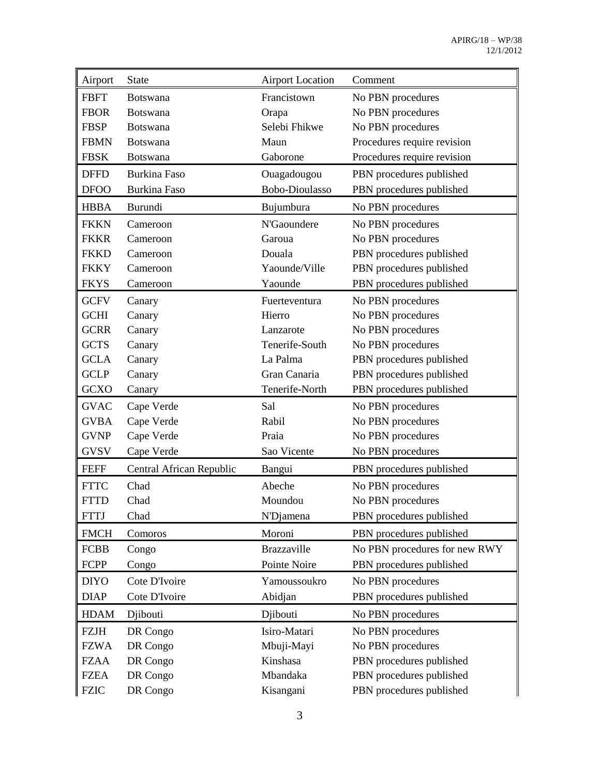| Airport     | <b>State</b>             | <b>Airport Location</b> | Comment                       |
|-------------|--------------------------|-------------------------|-------------------------------|
| <b>FBFT</b> | <b>Botswana</b>          | Francistown             | No PBN procedures             |
| <b>FBOR</b> | <b>Botswana</b>          | Orapa                   | No PBN procedures             |
| <b>FBSP</b> | <b>Botswana</b>          | Selebi Fhikwe           | No PBN procedures             |
| <b>FBMN</b> | Botswana                 | Maun                    | Procedures require revision   |
| <b>FBSK</b> | <b>Botswana</b>          | Gaborone                | Procedures require revision   |
| <b>DFFD</b> | <b>Burkina Faso</b>      | Ouagadougou             | PBN procedures published      |
| <b>DFOO</b> | <b>Burkina Faso</b>      | <b>Bobo-Dioulasso</b>   | PBN procedures published      |
| <b>HBBA</b> | Burundi                  | Bujumbura               | No PBN procedures             |
| <b>FKKN</b> | Cameroon                 | N'Gaoundere             | No PBN procedures             |
| <b>FKKR</b> | Cameroon                 | Garoua                  | No PBN procedures             |
| <b>FKKD</b> | Cameroon                 | Douala                  | PBN procedures published      |
| <b>FKKY</b> | Cameroon                 | Yaounde/Ville           | PBN procedures published      |
| <b>FKYS</b> | Cameroon                 | Yaounde                 | PBN procedures published      |
| <b>GCFV</b> | Canary                   | Fuerteventura           | No PBN procedures             |
| <b>GCHI</b> | Canary                   | Hierro                  | No PBN procedures             |
| <b>GCRR</b> | Canary                   | Lanzarote               | No PBN procedures             |
| <b>GCTS</b> | Canary                   | Tenerife-South          | No PBN procedures             |
| <b>GCLA</b> | Canary                   | La Palma                | PBN procedures published      |
| <b>GCLP</b> | Canary                   | Gran Canaria            | PBN procedures published      |
| <b>GCXO</b> | Canary                   | Tenerife-North          | PBN procedures published      |
| <b>GVAC</b> | Cape Verde               | Sal                     | No PBN procedures             |
| <b>GVBA</b> | Cape Verde               | Rabil                   | No PBN procedures             |
| <b>GVNP</b> | Cape Verde               | Praia                   | No PBN procedures             |
| <b>GVSV</b> | Cape Verde               | Sao Vicente             | No PBN procedures             |
| <b>FEFF</b> | Central African Republic | Bangui                  | PBN procedures published      |
| <b>FTTC</b> | Chad                     | Abeche                  | No PBN procedures             |
| <b>FTTD</b> | Chad                     | Moundou                 | No PBN procedures             |
| <b>FTTJ</b> | Chad                     | N'Djamena               | PBN procedures published      |
| <b>FMCH</b> | Comoros                  | Moroni                  | PBN procedures published      |
| <b>FCBB</b> | Congo                    | <b>Brazzaville</b>      | No PBN procedures for new RWY |
| FCPP        | Congo                    | Pointe Noire            | PBN procedures published      |
| <b>DIYO</b> | Cote D'Ivoire            | Yamoussoukro            | No PBN procedures             |
| <b>DIAP</b> | Cote D'Ivoire            | Abidjan                 | PBN procedures published      |
| <b>HDAM</b> | Djibouti                 | Djibouti                | No PBN procedures             |
| <b>FZJH</b> | DR Congo                 | Isiro-Matari            | No PBN procedures             |
| <b>FZWA</b> | DR Congo                 | Mbuji-Mayi              | No PBN procedures             |
| <b>FZAA</b> | DR Congo                 | Kinshasa                | PBN procedures published      |
| <b>FZEA</b> | DR Congo                 | Mbandaka                | PBN procedures published      |
| <b>FZIC</b> | DR Congo                 | Kisangani               | PBN procedures published      |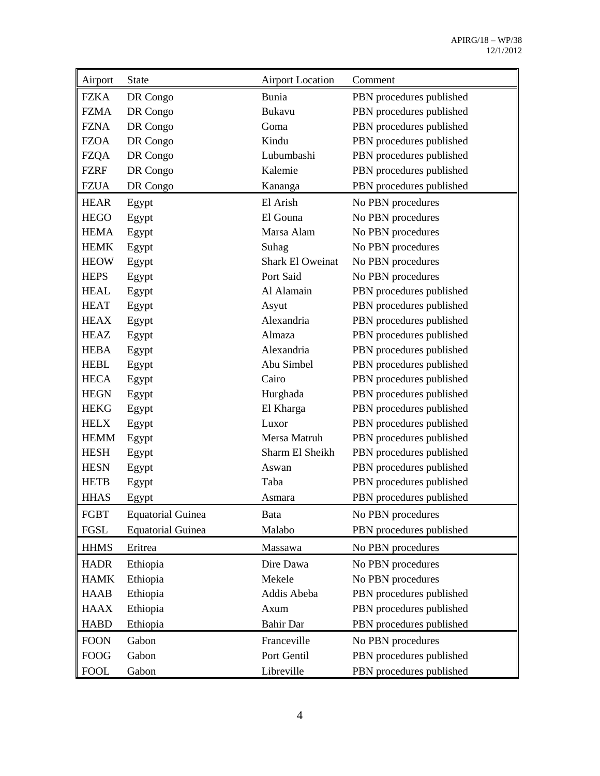| Airport     | <b>State</b>             | <b>Airport Location</b> | Comment                  |
|-------------|--------------------------|-------------------------|--------------------------|
| <b>FZKA</b> | DR Congo                 | Bunia                   | PBN procedures published |
| <b>FZMA</b> | DR Congo                 | Bukavu                  | PBN procedures published |
| <b>FZNA</b> | DR Congo                 | Goma                    | PBN procedures published |
| <b>FZOA</b> | DR Congo                 | Kindu                   | PBN procedures published |
| <b>FZQA</b> | DR Congo                 | Lubumbashi              | PBN procedures published |
| <b>FZRF</b> | DR Congo                 | Kalemie                 | PBN procedures published |
| <b>FZUA</b> | DR Congo                 | Kananga                 | PBN procedures published |
| <b>HEAR</b> | Egypt                    | El Arish                | No PBN procedures        |
| <b>HEGO</b> | Egypt                    | El Gouna                | No PBN procedures        |
| <b>HEMA</b> | Egypt                    | Marsa Alam              | No PBN procedures        |
| <b>HEMK</b> | Egypt                    | Suhag                   | No PBN procedures        |
| <b>HEOW</b> | Egypt                    | Shark El Oweinat        | No PBN procedures        |
| <b>HEPS</b> | Egypt                    | Port Said               | No PBN procedures        |
| <b>HEAL</b> | Egypt                    | Al Alamain              | PBN procedures published |
| <b>HEAT</b> | Egypt                    | Asyut                   | PBN procedures published |
| <b>HEAX</b> | Egypt                    | Alexandria              | PBN procedures published |
| <b>HEAZ</b> | Egypt                    | Almaza                  | PBN procedures published |
| <b>HEBA</b> | Egypt                    | Alexandria              | PBN procedures published |
| <b>HEBL</b> | Egypt                    | Abu Simbel              | PBN procedures published |
| <b>HECA</b> | Egypt                    | Cairo                   | PBN procedures published |
| <b>HEGN</b> | Egypt                    | Hurghada                | PBN procedures published |
| <b>HEKG</b> | Egypt                    | El Kharga               | PBN procedures published |
| <b>HELX</b> | Egypt                    | Luxor                   | PBN procedures published |
| <b>HEMM</b> | Egypt                    | Mersa Matruh            | PBN procedures published |
| <b>HESH</b> | Egypt                    | Sharm El Sheikh         | PBN procedures published |
| <b>HESN</b> | Egypt                    | Aswan                   | PBN procedures published |
| <b>HETB</b> | Egypt                    | Taba                    | PBN procedures published |
| <b>HHAS</b> | Egypt                    | Asmara                  | PBN procedures published |
| <b>FGBT</b> | <b>Equatorial Guinea</b> | Bata                    | No PBN procedures        |
| FGSL        | <b>Equatorial Guinea</b> | Malabo                  | PBN procedures published |
| <b>HHMS</b> | Eritrea                  | Massawa                 | No PBN procedures        |
| <b>HADR</b> | Ethiopia                 | Dire Dawa               | No PBN procedures        |
| <b>HAMK</b> | Ethiopia                 | Mekele                  | No PBN procedures        |
| <b>HAAB</b> | Ethiopia                 | Addis Abeba             | PBN procedures published |
| <b>HAAX</b> | Ethiopia                 | Axum                    | PBN procedures published |
| <b>HABD</b> | Ethiopia                 | <b>Bahir Dar</b>        | PBN procedures published |
| <b>FOON</b> | Gabon                    | Franceville             | No PBN procedures        |
| <b>FOOG</b> | Gabon                    | Port Gentil             | PBN procedures published |
| <b>FOOL</b> | Gabon                    | Libreville              | PBN procedures published |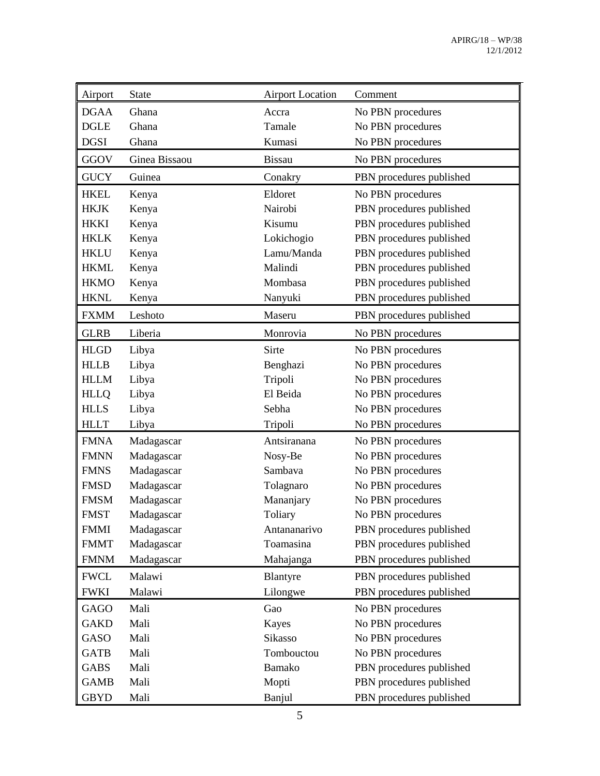| Airport     | <b>State</b>  | <b>Airport Location</b> | Comment                  |
|-------------|---------------|-------------------------|--------------------------|
| <b>DGAA</b> | Ghana         | Accra                   | No PBN procedures        |
| <b>DGLE</b> | Ghana         | Tamale                  | No PBN procedures        |
| <b>DGSI</b> | Ghana         | Kumasi                  | No PBN procedures        |
| GGOV        | Ginea Bissaou | <b>Bissau</b>           | No PBN procedures        |
| <b>GUCY</b> | Guinea        | Conakry                 | PBN procedures published |
| <b>HKEL</b> | Kenya         | Eldoret                 | No PBN procedures        |
| <b>HKJK</b> | Kenya         | Nairobi                 | PBN procedures published |
| <b>HKKI</b> | Kenya         | Kisumu                  | PBN procedures published |
| <b>HKLK</b> | Kenya         | Lokichogio              | PBN procedures published |
| <b>HKLU</b> | Kenya         | Lamu/Manda              | PBN procedures published |
| <b>HKML</b> | Kenya         | Malindi                 | PBN procedures published |
| <b>HKMO</b> | Kenya         | Mombasa                 | PBN procedures published |
| <b>HKNL</b> | Kenya         | Nanyuki                 | PBN procedures published |
| <b>FXMM</b> | Leshoto       | Maseru                  | PBN procedures published |
| <b>GLRB</b> | Liberia       | Monrovia                | No PBN procedures        |
| <b>HLGD</b> | Libya         | Sirte                   | No PBN procedures        |
| <b>HLLB</b> | Libya         | Benghazi                | No PBN procedures        |
| <b>HLLM</b> | Libya         | Tripoli                 | No PBN procedures        |
| <b>HLLQ</b> | Libya         | El Beida                | No PBN procedures        |
| <b>HLLS</b> | Libya         | Sebha                   | No PBN procedures        |
| <b>HLLT</b> | Libya         | Tripoli                 | No PBN procedures        |
| <b>FMNA</b> | Madagascar    | Antsiranana             | No PBN procedures        |
| <b>FMNN</b> | Madagascar    | Nosy-Be                 | No PBN procedures        |
| <b>FMNS</b> | Madagascar    | Sambava                 | No PBN procedures        |
| <b>FMSD</b> | Madagascar    | Tolagnaro               | No PBN procedures        |
| <b>FMSM</b> | Madagascar    | Mananjary               | No PBN procedures        |
| <b>FMST</b> | Madagascar    | Toliary                 | No PBN procedures        |
| <b>FMMI</b> | Madagascar    | Antananarivo            | PBN procedures published |
| <b>FMMT</b> | Madagascar    | Toamasina               | PBN procedures published |
| <b>FMNM</b> | Madagascar    | Mahajanga               | PBN procedures published |
| <b>FWCL</b> | Malawi        | Blantyre                | PBN procedures published |
| <b>FWKI</b> | Malawi        | Lilongwe                | PBN procedures published |
| <b>GAGO</b> | Mali          | Gao                     | No PBN procedures        |
| <b>GAKD</b> | Mali          | Kayes                   | No PBN procedures        |
| GASO        | Mali          | Sikasso                 | No PBN procedures        |
| <b>GATB</b> | Mali          | Tombouctou              | No PBN procedures        |
| <b>GABS</b> | Mali          | Bamako                  | PBN procedures published |
| <b>GAMB</b> | Mali          | Mopti                   | PBN procedures published |
| <b>GBYD</b> | Mali          | Banjul                  | PBN procedures published |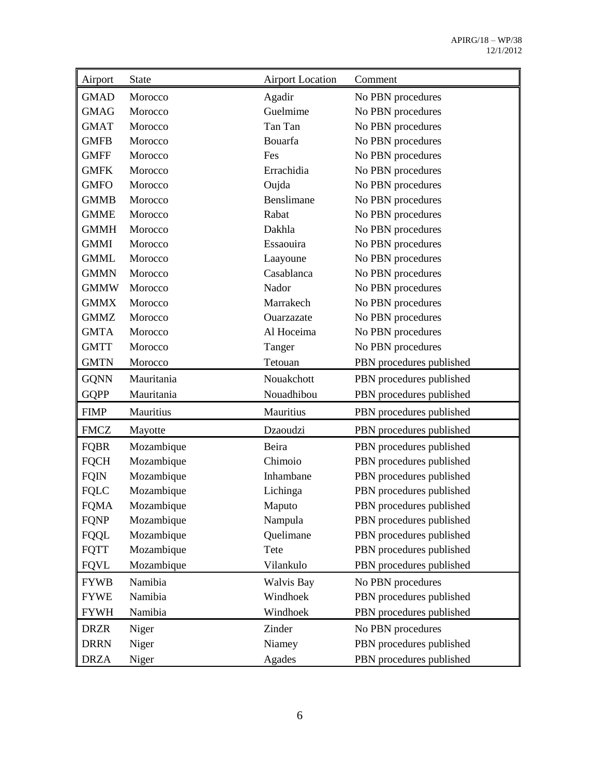| Airport     | <b>State</b> | <b>Airport Location</b> | Comment                  |
|-------------|--------------|-------------------------|--------------------------|
| <b>GMAD</b> | Morocco      | Agadir                  | No PBN procedures        |
| <b>GMAG</b> | Morocco      | Guelmime                | No PBN procedures        |
| <b>GMAT</b> | Morocco      | Tan Tan                 | No PBN procedures        |
| <b>GMFB</b> | Morocco      | Bouarfa                 | No PBN procedures        |
| <b>GMFF</b> | Morocco      | Fes                     | No PBN procedures        |
| <b>GMFK</b> | Morocco      | Errachidia              | No PBN procedures        |
| <b>GMFO</b> | Morocco      | Oujda                   | No PBN procedures        |
| <b>GMMB</b> | Morocco      | Benslimane              | No PBN procedures        |
| <b>GMME</b> | Morocco      | Rabat                   | No PBN procedures        |
| <b>GMMH</b> | Morocco      | Dakhla                  | No PBN procedures        |
| <b>GMMI</b> | Morocco      | Essaouira               | No PBN procedures        |
| <b>GMML</b> | Morocco      | Laayoune                | No PBN procedures        |
| <b>GMMN</b> | Morocco      | Casablanca              | No PBN procedures        |
| <b>GMMW</b> | Morocco      | Nador                   | No PBN procedures        |
| <b>GMMX</b> | Morocco      | Marrakech               | No PBN procedures        |
| <b>GMMZ</b> | Morocco      | Ouarzazate              | No PBN procedures        |
| <b>GMTA</b> | Morocco      | Al Hoceima              | No PBN procedures        |
| <b>GMTT</b> | Morocco      | Tanger                  | No PBN procedures        |
| <b>GMTN</b> | Morocco      | Tetouan                 | PBN procedures published |
| <b>GQNN</b> | Mauritania   | Nouakchott              | PBN procedures published |
| <b>GQPP</b> | Mauritania   | Nouadhibou              | PBN procedures published |
| <b>FIMP</b> | Mauritius    | Mauritius               | PBN procedures published |
| <b>FMCZ</b> | Mayotte      | Dzaoudzi                | PBN procedures published |
| <b>FQBR</b> | Mozambique   | Beira                   | PBN procedures published |
| <b>FQCH</b> | Mozambique   | Chimoio                 | PBN procedures published |
| <b>FQIN</b> | Mozambique   | Inhambane               | PBN procedures published |
| <b>FQLC</b> | Mozambique   | Lichinga                | PBN procedures published |
| <b>FOMA</b> | Mozambique   | Maputo                  | PBN procedures published |
| <b>FQNP</b> | Mozambique   | Nampula                 | PBN procedures published |
| <b>FQQL</b> | Mozambique   | Quelimane               | PBN procedures published |
| <b>FQTT</b> | Mozambique   | Tete                    | PBN procedures published |
| <b>FQVL</b> | Mozambique   | Vilankulo               | PBN procedures published |
| <b>FYWB</b> | Namibia      | <b>Walvis Bay</b>       | No PBN procedures        |
| <b>FYWE</b> | Namibia      | Windhoek                | PBN procedures published |
| <b>FYWH</b> | Namibia      | Windhoek                | PBN procedures published |
| <b>DRZR</b> | Niger        | Zinder                  | No PBN procedures        |
| <b>DRRN</b> | Niger        | Niamey                  | PBN procedures published |
| <b>DRZA</b> | Niger        | Agades                  | PBN procedures published |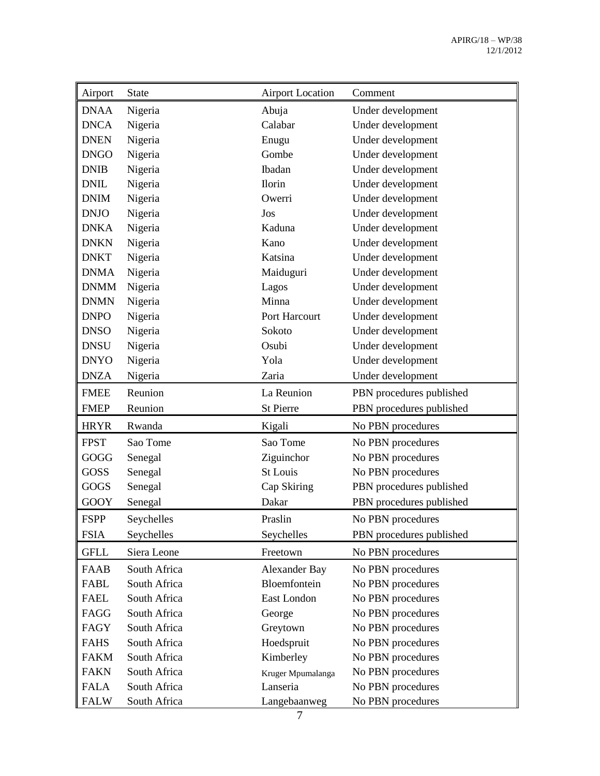| Airport     | <b>State</b> | <b>Airport Location</b> | Comment                  |
|-------------|--------------|-------------------------|--------------------------|
| <b>DNAA</b> | Nigeria      | Abuja                   | Under development        |
| <b>DNCA</b> | Nigeria      | Calabar                 | Under development        |
| <b>DNEN</b> | Nigeria      | Enugu                   | Under development        |
| <b>DNGO</b> | Nigeria      | Gombe                   | Under development        |
| <b>DNIB</b> | Nigeria      | Ibadan                  | Under development        |
| <b>DNIL</b> | Nigeria      | Ilorin                  | Under development        |
| <b>DNIM</b> | Nigeria      | Owerri                  | Under development        |
| <b>DNJO</b> | Nigeria      | Jos                     | Under development        |
| <b>DNKA</b> | Nigeria      | Kaduna                  | Under development        |
| <b>DNKN</b> | Nigeria      | Kano                    | Under development        |
| <b>DNKT</b> | Nigeria      | Katsina                 | Under development        |
| <b>DNMA</b> | Nigeria      | Maiduguri               | Under development        |
| <b>DNMM</b> | Nigeria      | Lagos                   | Under development        |
| <b>DNMN</b> | Nigeria      | Minna                   | Under development        |
| <b>DNPO</b> | Nigeria      | Port Harcourt           | Under development        |
| <b>DNSO</b> | Nigeria      | Sokoto                  | Under development        |
| <b>DNSU</b> | Nigeria      | Osubi                   | Under development        |
| <b>DNYO</b> | Nigeria      | Yola                    | Under development        |
| <b>DNZA</b> | Nigeria      | Zaria                   | Under development        |
| <b>FMEE</b> | Reunion      | La Reunion              | PBN procedures published |
| <b>FMEP</b> | Reunion      | <b>St Pierre</b>        | PBN procedures published |
| <b>HRYR</b> | Rwanda       | Kigali                  | No PBN procedures        |
| <b>FPST</b> | Sao Tome     | Sao Tome                | No PBN procedures        |
| GOGG        | Senegal      | Ziguinchor              | No PBN procedures        |
| GOSS        | Senegal      | <b>St Louis</b>         | No PBN procedures        |
| GOGS        | Senegal      | Cap Skiring             | PBN procedures published |
| <b>GOOY</b> | Senegal      | Dakar                   | PBN procedures published |
| <b>FSPP</b> | Seychelles   | Praslin                 | No PBN procedures        |
| <b>FSIA</b> | Seychelles   | Seychelles              | PBN procedures published |
| <b>GFLL</b> | Siera Leone  | Freetown                | No PBN procedures        |
| <b>FAAB</b> | South Africa | Alexander Bay           | No PBN procedures        |
| FABL        | South Africa | Bloemfontein            | No PBN procedures        |
| <b>FAEL</b> | South Africa | East London             | No PBN procedures        |
| FAGG        | South Africa | George                  | No PBN procedures        |
| FAGY        | South Africa | Greytown                | No PBN procedures        |
| <b>FAHS</b> | South Africa | Hoedspruit              | No PBN procedures        |
| <b>FAKM</b> | South Africa | Kimberley               | No PBN procedures        |
| <b>FAKN</b> | South Africa | Kruger Mpumalanga       | No PBN procedures        |
| <b>FALA</b> | South Africa | Lanseria                | No PBN procedures        |
| <b>FALW</b> | South Africa | Langebaanweg            | No PBN procedures        |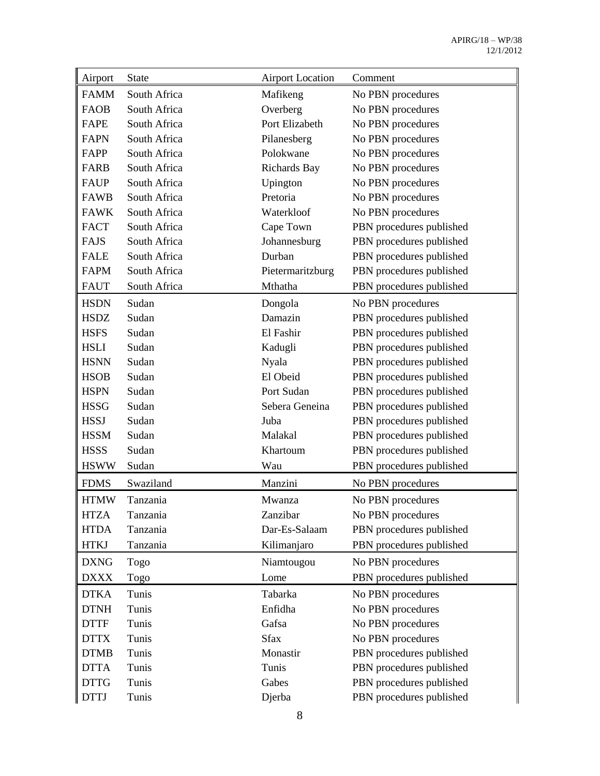| Airport     | <b>State</b> | <b>Airport Location</b> | Comment                  |
|-------------|--------------|-------------------------|--------------------------|
| <b>FAMM</b> | South Africa | Mafikeng                | No PBN procedures        |
| <b>FAOB</b> | South Africa | Overberg                | No PBN procedures        |
| FAPE        | South Africa | Port Elizabeth          | No PBN procedures        |
| <b>FAPN</b> | South Africa | Pilanesberg             | No PBN procedures        |
| FAPP        | South Africa | Polokwane               | No PBN procedures        |
| <b>FARB</b> | South Africa | Richards Bay            | No PBN procedures        |
| <b>FAUP</b> | South Africa | Upington                | No PBN procedures        |
| <b>FAWB</b> | South Africa | Pretoria                | No PBN procedures        |
| <b>FAWK</b> | South Africa | Waterkloof              | No PBN procedures        |
| <b>FACT</b> | South Africa | Cape Town               | PBN procedures published |
| <b>FAJS</b> | South Africa | Johannesburg            | PBN procedures published |
| <b>FALE</b> | South Africa | Durban                  | PBN procedures published |
| <b>FAPM</b> | South Africa | Pietermaritzburg        | PBN procedures published |
| <b>FAUT</b> | South Africa | Mthatha                 | PBN procedures published |
| <b>HSDN</b> | Sudan        | Dongola                 | No PBN procedures        |
| <b>HSDZ</b> | Sudan        | Damazin                 | PBN procedures published |
| <b>HSFS</b> | Sudan        | El Fashir               | PBN procedures published |
| <b>HSLI</b> | Sudan        | Kadugli                 | PBN procedures published |
| <b>HSNN</b> | Sudan        | <b>Nyala</b>            | PBN procedures published |
| <b>HSOB</b> | Sudan        | El Obeid                | PBN procedures published |
| <b>HSPN</b> | Sudan        | Port Sudan              | PBN procedures published |
| <b>HSSG</b> | Sudan        | Sebera Geneina          | PBN procedures published |
| <b>HSSJ</b> | Sudan        | Juba                    | PBN procedures published |
| <b>HSSM</b> | Sudan        | Malakal                 | PBN procedures published |
| <b>HSSS</b> | Sudan        | Khartoum                | PBN procedures published |
| <b>HSWW</b> | Sudan        | Wau                     | PBN procedures published |
| <b>FDMS</b> | Swaziland    | Manzini                 | No PBN procedures        |
| <b>HTMW</b> | Tanzania     | Mwanza                  | No PBN procedures        |
| <b>HTZA</b> | Tanzania     | Zanzibar                | No PBN procedures        |
| <b>HTDA</b> | Tanzania     | Dar-Es-Salaam           | PBN procedures published |
| <b>HTKJ</b> | Tanzania     | Kilimanjaro             | PBN procedures published |
| <b>DXNG</b> | Togo         | Niamtougou              | No PBN procedures        |
| <b>DXXX</b> | Togo         | Lome                    | PBN procedures published |
| <b>DTKA</b> | Tunis        | Tabarka                 | No PBN procedures        |
| <b>DTNH</b> | Tunis        | Enfidha                 | No PBN procedures        |
| <b>DTTF</b> | Tunis        | Gafsa                   | No PBN procedures        |
| <b>DTTX</b> | Tunis        | <b>Sfax</b>             | No PBN procedures        |
| <b>DTMB</b> | Tunis        | Monastir                | PBN procedures published |
| <b>DTTA</b> | Tunis        | Tunis                   | PBN procedures published |
| <b>DTTG</b> | Tunis        | Gabes                   | PBN procedures published |
| <b>DTTJ</b> | Tunis        | Djerba                  | PBN procedures published |